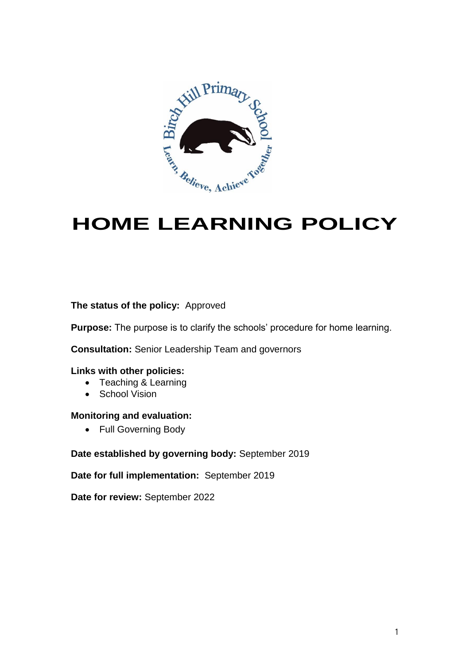

# **HOME LEARNING POLICY**

#### **The status of the policy:** Approved

**Purpose:** The purpose is to clarify the schools' procedure for home learning.

**Consultation:** Senior Leadership Team and governors

#### **Links with other policies:**

- Teaching & Learning
- School Vision

#### **Monitoring and evaluation:**

• Full Governing Body

#### **Date established by governing body:** September 2019

#### **Date for full implementation:** September 2019

**Date for review:** September 2022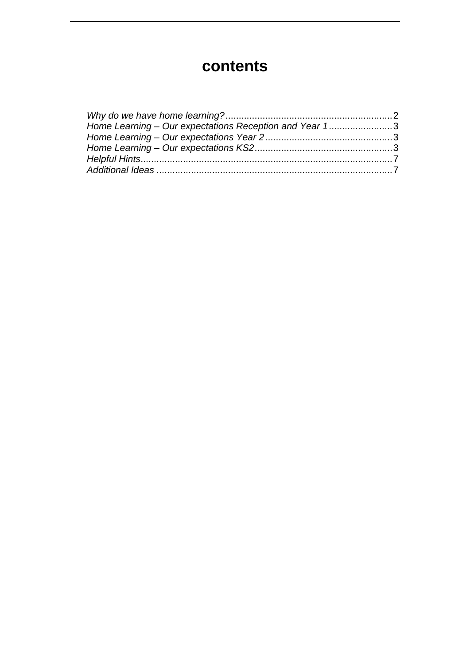# **contents**

| Home Learning - Our expectations Reception and Year 13 |  |
|--------------------------------------------------------|--|
|                                                        |  |
|                                                        |  |
|                                                        |  |
|                                                        |  |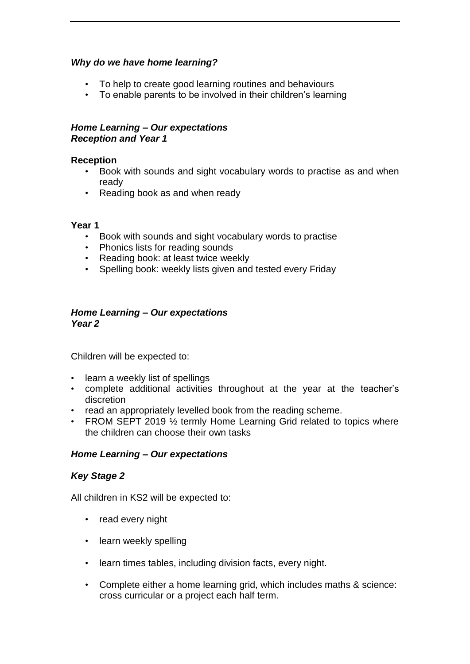# *Why do we have home learning?*

- To help to create good learning routines and behaviours
- To enable parents to be involved in their children's learning

#### *Home Learning – Our expectations Reception and Year 1*

#### **Reception**

- Book with sounds and sight vocabulary words to practise as and when ready
- Reading book as and when ready

#### **Year 1**

- Book with sounds and sight vocabulary words to practise
- Phonics lists for reading sounds
- Reading book: at least twice weekly
- Spelling book: weekly lists given and tested every Friday

#### *Home Learning – Our expectations Year 2*

Children will be expected to:

- learn a weekly list of spellings
- complete additional activities throughout at the year at the teacher's discretion
- read an appropriately levelled book from the reading scheme.
- FROM SEPT 2019 1/2 termly Home Learning Grid related to topics where the children can choose their own tasks

# *Home Learning – Our expectations*

# *Key Stage 2*

All children in KS2 will be expected to:

- read every night
- learn weekly spelling
- learn times tables, including division facts, every night.
- Complete either a home learning grid, which includes maths & science: cross curricular or a project each half term.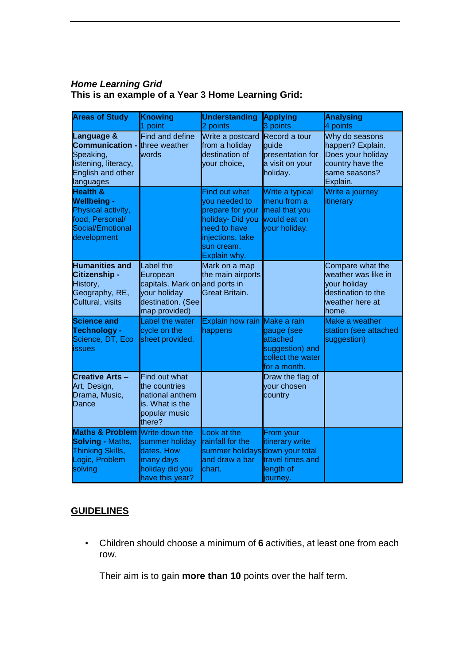# *Home Learning Grid* **This is an example of a Year 3 Home Learning Grid:**

| <b>Areas of Study</b>                                                                                                        | <b>Knowing</b><br>point                                                                                       | <b>Understanding</b><br>2 points                                                                                                         | <b>Applying</b><br>3 points                                                                   | <b>Analysing</b><br>4 points                                                                              |
|------------------------------------------------------------------------------------------------------------------------------|---------------------------------------------------------------------------------------------------------------|------------------------------------------------------------------------------------------------------------------------------------------|-----------------------------------------------------------------------------------------------|-----------------------------------------------------------------------------------------------------------|
| <b>Language &amp;</b><br><b>Communication -</b><br>Speaking,<br>listening, literacy,<br>English and other<br>languages       | Find and define<br>three weather<br>words                                                                     | Write a postcard<br>from a holiday<br>destination of<br>your choice,                                                                     | Record a tour<br>guide<br>presentation for<br>a visit on your<br>holiday.                     | Why do seasons<br>happen? Explain.<br>Does your holiday<br>country have the<br>same seasons?<br>Explain.  |
| <b>Health &amp;</b><br><b>Wellbeing -</b><br>Physical activity,<br>food, Personal/<br>Social/Emotional<br>development        |                                                                                                               | Find out what<br>vou needed to<br>prepare for your<br>holiday- Did you<br>need to have<br>injections, take<br>sun cream.<br>Explain why. | Write a typical<br>menu from a<br>meal that you<br>would eat on<br>your holiday.              | Write a journey<br>itinerary                                                                              |
| <b>Humanities and</b><br>Citizenship -<br>History,<br>Geography, RE,<br>Cultural, visits                                     | Label the<br>European<br>capitals. Mark on and ports in<br>your holiday<br>destination. (See<br>map provided) | Mark on a map<br>the main airports<br>Great Britain.                                                                                     |                                                                                               | Compare what the<br>weather was like in<br>your holiday<br>destination to the<br>weather here at<br>home. |
| <b>Science and</b><br><b>Technology -</b><br>Science, DT, Eco<br>issues                                                      | Label the water<br>cycle on the<br>sheet provided.                                                            | <b>Explain how rain</b><br>happens                                                                                                       | Make a rain<br>gauge (see<br>attached<br>suggestion) and<br>collect the water<br>for a month. | Make a weather<br>station (see attached<br>suggestion)                                                    |
| <b>Creative Arts-</b><br>Art, Design,<br>Drama, Music,<br>Dance                                                              | Find out what<br>the countries<br>national anthem<br>is. What is the<br>popular music<br>there?               |                                                                                                                                          | Draw the flag of<br>vour chosen<br>country                                                    |                                                                                                           |
| <b>Maths &amp; Problem</b> Write down the<br><b>Solving - Maths,</b><br><b>Thinking Skills,</b><br>Logic, Problem<br>solving | summer holiday<br>dates. How<br>many days<br>holiday did you<br>have this year?                               | Look at the<br>rainfall for the<br>summer holidays down your total<br>and draw a bar<br>chart.                                           | From your<br>itinerary write<br>travel times and<br>length of<br>journey.                     |                                                                                                           |

# **GUIDELINES**

• Children should choose a minimum of **6** activities, at least one from each row.

Their aim is to gain **more than 10** points over the half term.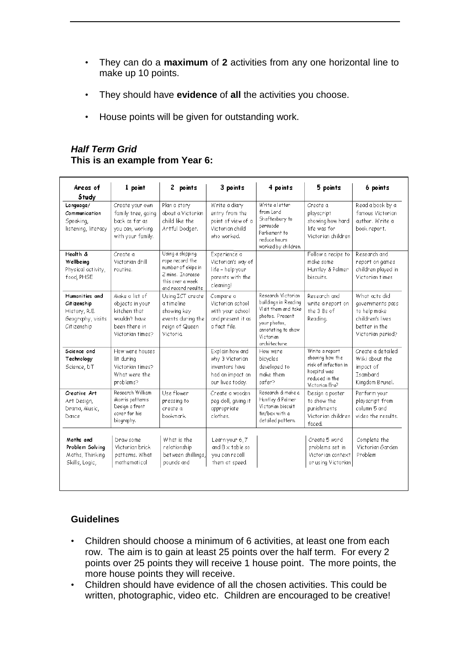- They can do a **maximum** of **2** activities from any one horizontal line to make up 10 points.
- They should have **evidence** of **all** the activities you choose.
- House points will be given for outstanding work.

# *Half Term Grid* **This is an example from Year 6:**

| Areas of<br>Study                                                                  | 1 point                                                                                                 | 2 points                                                                                                                 | 3 points                                                                                     | 4 points                                                                                                                                                 | 5 points                                                                                                      | 6 points                                                                                                    |
|------------------------------------------------------------------------------------|---------------------------------------------------------------------------------------------------------|--------------------------------------------------------------------------------------------------------------------------|----------------------------------------------------------------------------------------------|----------------------------------------------------------------------------------------------------------------------------------------------------------|---------------------------------------------------------------------------------------------------------------|-------------------------------------------------------------------------------------------------------------|
| Language/<br>Communication<br>Speaking,<br>listening, literacy                     | Create your own<br>family tree, going<br>back as far as<br>you can, working<br>with your family.        | Plan a story<br>about a Victorian<br>child like the<br>Antful Dodgen.                                                    | Write a diary<br>entry from the<br>point of view of a<br>Victorian child<br>who worked.      | Write a letter<br>from Lord<br>Shaftesbury to<br>persuade<br>Parliament to<br>reduce hours<br>worked by children.                                        | Create a<br>playscript<br>showing how hard<br>life was for<br>Victorian children                              | Read a book by a<br>famous Victorian<br>author. Write a<br>book report.                                     |
| Health &<br>Wellbeing<br>Physical activity,<br>food, PHSE                          | Create a<br>Victorian drill<br>routine.                                                                 | Using a skipping<br>rope record the<br>number of skips in<br>2 mins. Increase<br>this over a week<br>and record results. | Experience a<br>Victorian's way of<br>life - help your<br>parents with the<br>cleaning!      |                                                                                                                                                          | Follow a recipe to<br>make some.<br>Huntley & Palmer<br>biscuits.                                             | Research and<br>report on games<br>children played in<br>Victorian times                                    |
| Humanities and<br>Citizenship<br>History, R.E.<br>Geography, visits<br>Citizenship | Make a list of<br>objects in your<br>kitchen that<br>wouldn't have<br>been there in<br>Victorian times? | Using ICT create<br>a timeline<br>showing key<br>events during the<br>reign of Queen<br>Victoria.                        | Compare a<br>Victorian school<br>with your school<br>and present it as<br>a fact file.       | Research Victorian<br>buildings in Reading<br>Visit them and take<br>photos. Present<br>your photos,<br>annotating to show<br>Victorian<br>architecture. | Research and<br>write a report on<br>the 3 Bs of<br>Reading.                                                  | What acts did<br>governments pass<br>to help make<br>children's lives<br>better in the<br>Victorian period? |
| Science and<br>Technology<br>Science, DT                                           | How were houses<br>lit during<br>Victorian times?<br>What were the<br>problems?                         |                                                                                                                          | Explain how and<br>why 3 Victorian<br>inventors have<br>had an impact on<br>our lives today. | How were<br>bicycles<br>developed to<br>make them.<br>safer?                                                                                             | Write a report<br>showing how the<br>risk of infection in<br>hospital was<br>reduced in the<br>Victorian Era? | Create a detailed<br>Wiki about the<br>impact of<br>Isambard<br>Kingdom Brunel.                             |
| Creative Art<br>Art Design,<br>Drama, Music,<br>Dance                              | Research William<br>Morris patterns<br>Design a front<br>cover for his<br>biography.                    | Use flower<br>pressing to<br>create a<br>bookmark.                                                                       | Create a wooden<br>peg doll, giving it<br>appropriate<br>clothes.                            | Research & make a<br>Huntley & Palmer<br>Victorian biscuit<br>tin/box with a<br>detailed pattern.                                                        | Design a poster<br>to show the<br>punishments<br>Victorian children<br>faced.                                 | Perform your<br>playscript from<br>column 5 and<br>video the results.                                       |
| Maths and<br>Problem Solving<br>Maths, Thinking<br>Skills, Logic,                  | Draw some<br>Victorian brick<br>patterns. What<br>mathematical                                          | What is the<br>relationship<br>between shillings,<br>pounds and                                                          | Learn your 6,7<br>and $8 \times$ table so<br>you can recall<br>them at speed.                |                                                                                                                                                          | Create 5 word<br>problems set in<br>Victorian context<br>or using Victorian                                   | Complete the<br>Victorian Garden<br>Problem                                                                 |

# **Guidelines**

- Children should choose a minimum of 6 activities, at least one from each row. The aim is to gain at least 25 points over the half term. For every 2 points over 25 points they will receive 1 house point. The more points, the more house points they will receive.
- Children should have evidence of all the chosen activities. This could be written, photographic, video etc. Children are encouraged to be creative!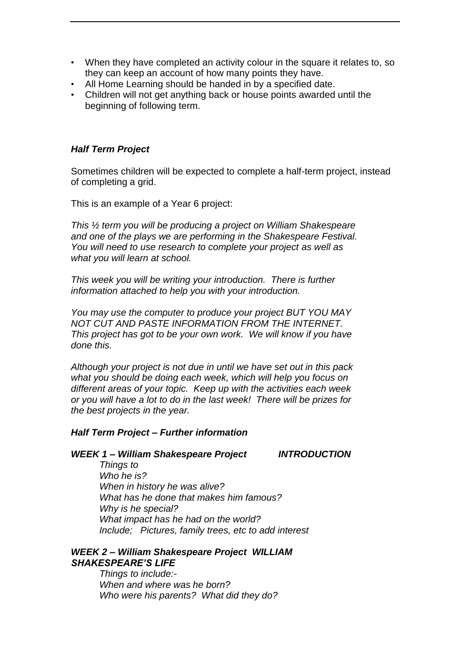- When they have completed an activity colour in the square it relates to, so they can keep an account of how many points they have.
- All Home Learning should be handed in by a specified date.
- Children will not get anything back or house points awarded until the beginning of following term.

#### *Half Term Project*

Sometimes children will be expected to complete a half-term project, instead of completing a grid.

This is an example of a Year 6 project:

*This ½ term you will be producing a project on William Shakespeare and one of the plays we are performing in the Shakespeare Festival. You will need to use research to complete your project as well as what you will learn at school.*

*This week you will be writing your introduction. There is further information attached to help you with your introduction.*

*You may use the computer to produce your project BUT YOU MAY NOT CUT AND PASTE INFORMATION FROM THE INTERNET. This project has got to be your own work. We will know if you have done this.*

*Although your project is not due in until we have set out in this pack what you should be doing each week, which will help you focus on different areas of your topic. Keep up with the activities each week or you will have a lot to do in the last week! There will be prizes for the best projects in the year.*

#### *Half Term Project – Further information*

#### *WEEK 1 – William Shakespeare Project INTRODUCTION*

*Things to Who he is? When in history he was alive? What has he done that makes him famous? Why is he special? What impact has he had on the world? Include; Pictures, family trees, etc to add interest* 

#### *WEEK 2 – William Shakespeare Project WILLIAM SHAKESPEARE'S LIFE*

*Things to include:- When and where was he born? Who were his parents? What did they do?*